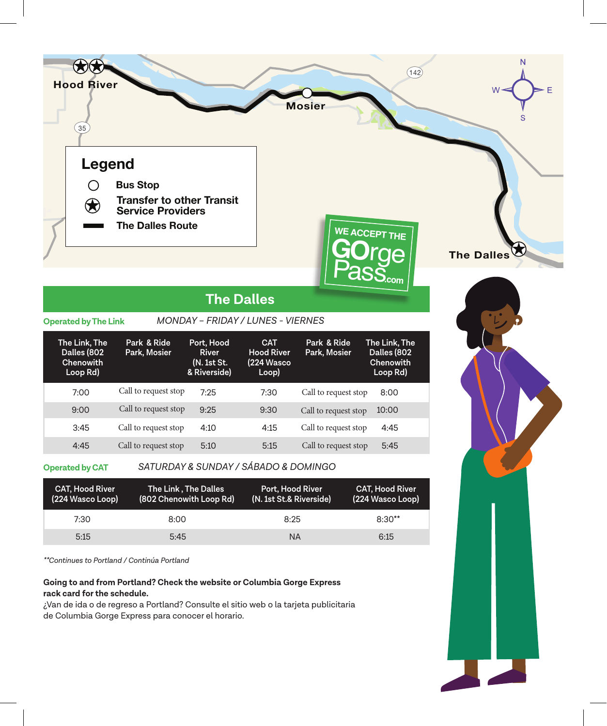

## **The Dalles** *MONDAY – FRIDAY / LUNES - VIERNES*

#### **Operated by The Link**

| The Link, The<br>Dalles (802<br>Chenowith<br>Loop Rd) | Park & Ride<br>Park, Mosier | Port, Hood<br>River<br>(N. 1st St.<br>& Riverside) | <b>CAT</b><br><b>Hood River</b><br>(224 Wasco<br>Loop) | Park & Ride<br>Park, Mosier | The Link, The<br>Dalles (802<br>Chenowith<br>Loop Rd) |
|-------------------------------------------------------|-----------------------------|----------------------------------------------------|--------------------------------------------------------|-----------------------------|-------------------------------------------------------|
| 7:00                                                  | Call to request stop        | 7:25                                               | 7:30                                                   | Call to request stop        | 8:00                                                  |
| 9:00                                                  | Call to request stop        | 9:25                                               | 9:30                                                   | Call to request stop        | 10:00                                                 |
| 3:45                                                  | Call to request stop        | 4:10                                               | 4:15                                                   | Call to request stop        | 4:45                                                  |

#### **Operated by CAT**

#### *SATURDAY & SUNDAY / SÁBADO & DOMINGO*

4:45 Call to request stop 5:10 5:15 Call to request stop 5:45

| <b>CAT, Hood River</b><br>(224 Wasco Loop) | The Link , The Dalles<br>(802 Chenowith Loop Rd) | Port, Hood River<br>(N. 1st St.& Riverside) | <b>CAT, Hood River</b><br>(224 Wasco Loop) |
|--------------------------------------------|--------------------------------------------------|---------------------------------------------|--------------------------------------------|
| 7:30                                       | 8:00                                             | 8:25                                        | $8:30**$                                   |
| 5:15                                       | 5:45                                             | <b>NA</b>                                   | 6:15                                       |

*\*\*Continues to Portland / Continúa Portland*

### **Going to and from Portland? Check the website or Columbia Gorge Express rack card for the schedule.**

¿Van de ida o de regreso a Portland? Consulte el sitio web o la tarjeta publicitaria de Columbia Gorge Express para conocer el horario.